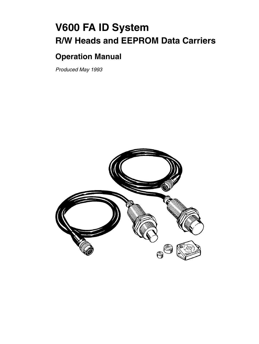# **V600 FA ID System R/W Heads and EEPROM Data Carriers**

# **Operation Manual**

*Produced May 1993*

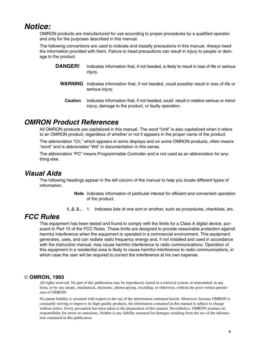## *Notice:*

OMRON products are manufactured for use according to proper procedures by a qualified operator and only for the purposes described in this manual.

The following conventions are used to indicate and classify precautions in this manual. Always heed the information provided with them. Failure to head precautions can result in injury to people or damage to the product.

- **DANGER!** Indicates information that, if not heeded, is likely to result in loss of life or serious injury.
	- **WARNING** Indicates information that, if not heeded, could possibly result in loss of life or serious injury.
		- **Caution** Indicates information that, if not heeded, could result in relative serious or minor injury, damage to the product, or faulty operation.

### *OMRON Product References*

All OMRON products are capitalized in this manual. The word "Unit" is also capitalized when it refers to an OMRON product, regardless of whether or not it appears in the proper name of the product.

The abbreviation "Ch," which appears in some displays and on some OMRON products, often means "word" and is abbreviated "Wd" in documentation in this sense.

The abbreviation "PC" means Programmable Controller and is not used as an abbreviation for anything else.

#### *Visual Aids*

The following headings appear in the left column of the manual to help you locate different types of information.

> **Note** Indicates information of particular interest for efficient and convenient operation of the product.

*1, 2, 3...* 1. Indicates lists of one sort or another, such as procedures, checklists, etc.

### *FCC Rules*

This equipment has been tested and found to comply with the limits for a Class A digital device, pursuant to Part 15 of the FCC Rules. These limits are designed to provide reasonable protection against harmful interference when the equipment is operated in a commercial environment. This equipment generates, uses, and can radiate radio frequency energy and, if not installed and used in accordance with the instruction manual, may cause harmful interference to radio communications. Operation of this equipment in a residential area is likely to cause harmful interference to radio communications, in which case the user will be required to correct the interference at his own expense.

#### **OMRON, 1993**

All rights reserved. No part of this publication may be reproduced, stored in a retrieval system, or transmitted, in any form, or by any means, mechanical, electronic, photocopying, recording, or otherwise, without the prior written permission of OMRON.

No patent liability is assumed with respect to the use of the information contained herein. Moreover, because OMRON is constantly striving to improve its high-quality products, the information contained in this manual is subject to change without notice. Every precaution has been taken in the preparation of this manual. Nevertheless, OMRON assumes no responsibility for errors or omissions. Neither is any liability assumed for damages resulting from the use of the information contained in this publication.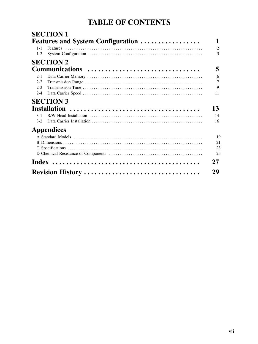# **TABLE OF CONTENTS**

|                    | Features and System Configuration |
|--------------------|-----------------------------------|
| $1 - 1$<br>$1 - 2$ |                                   |
|                    |                                   |
|                    | <b>SECTION 2</b>                  |
|                    | Communications                    |
| $2 - 1$            |                                   |
| $2 - 2$            |                                   |
| $2 - 3$            |                                   |
| $2 - 4$            |                                   |
|                    | <b>SECTION 3</b>                  |
|                    |                                   |
| $3 - 1$            |                                   |
| $3-2$              |                                   |
|                    | <b>Appendices</b>                 |
|                    |                                   |
|                    |                                   |
|                    |                                   |
|                    |                                   |
|                    |                                   |
|                    |                                   |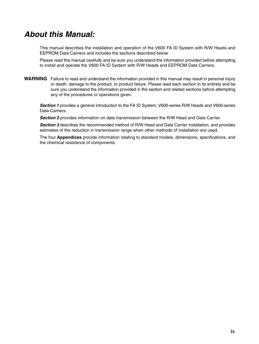# *About this Manual:*

This manual describes the installation and operation of the V600 FA ID System with R/W Heads and EEPROM Data Carriers and includes the sections described below.

Please read this manual carefully and be sure you understand the information provided before attempting to install and operate the V600 FA ID System with R/W Heads and EEPROM Data Carriers.

**WARNING** Failure to read and understand the information provided in this manual may result in personal injury or death, damage to the product, or product failure. Please read each section in its entirety and be sure you understand the information provided in the section and related sections before attempting any of the procedures or operations given.

*Section 1* provides a general introduction to the FA ID System, V600-series R/W Heads and V600-series Data Carriers.

*Section 2* provides information on data transmission between the R/W Head and Data Carrier.

**Section 3** describes the recommended method of R/W Head and Data Carrier installation, and provides estimates of the reduction in transmission range when other methods of installation are used.

The four **Appendices** provide information relating to standard models, dimensions, specifications, and the chemical resistance of components.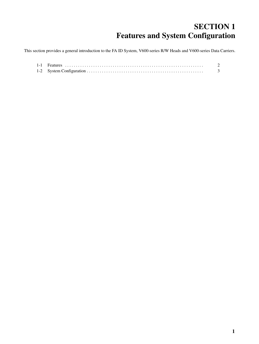# **SECTION 1 Features and System Configuration**

This section provides a general introduction to the FA ID System, V600-series R/W Heads and V600-series Data Carriers.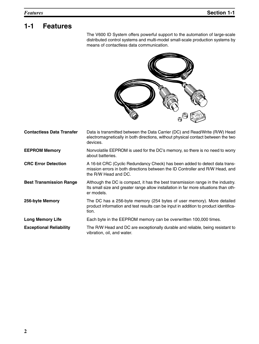# **1-1 Features**

The V600 ID System offers powerful support to the automation of large-scale distributed control systems and multi-model small-scale production systems by means of contactless data communication.



| <b>Contactless Data Transfer</b> | Data is transmitted between the Data Carrier (DC) and Read/Write (R/W) Head<br>electromagnetically in both directions, without physical contact between the two<br>devices.           |
|----------------------------------|---------------------------------------------------------------------------------------------------------------------------------------------------------------------------------------|
| <b>EEPROM Memory</b>             | Nonvolatile EEPROM is used for the DC's memory, so there is no need to worry<br>about batteries.                                                                                      |
| <b>CRC Error Detection</b>       | A 16-bit CRC (Cyclic Redundancy Check) has been added to detect data trans-<br>mission errors in both directions between the ID Controller and R/W Head, and<br>the R/W Head and DC.  |
| <b>Best Transmission Range</b>   | Although the DC is compact, it has the best transmission range in the industry.<br>Its small size and greater range allow installation in far more situations than oth-<br>er models. |
| 256-byte Memory                  | The DC has a 256-byte memory (254 bytes of user memory). More detailed<br>product information and test results can be input in addition to product identifica-<br>tion.               |
| <b>Long Memory Life</b>          | Each byte in the EEPROM memory can be overwritten 100,000 times.                                                                                                                      |
| <b>Exceptional Reliability</b>   | The R/W Head and DC are exceptionally durable and reliable, being resistant to<br>vibration, oil, and water.                                                                          |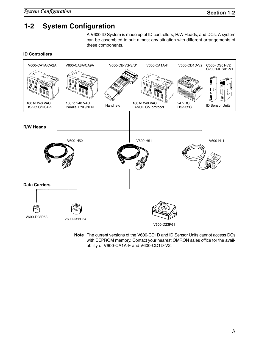## **1-2 System Configuration**

A V600 ID System is made up of ID controllers, R/W Heads, and DCs. A system can be assembled to suit almost any situation with different arrangements of these components.

#### **ID Controllers**



**Note** The current versions of the V600-CD1D and ID Sensor Units cannot access DCs with EEPROM memory. Contact your nearest OMRON sales office for the availability of V600-CA1A-F and V600-CD1D-V2.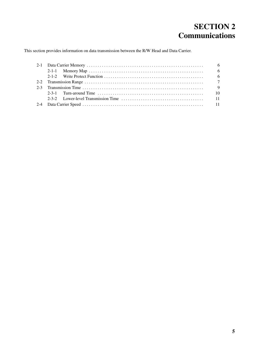# **SECTION 2 Communications**

This section provides information on data transmission between the R/W Head and Data Carrier.

| 2-3-1 Turn-around Time $\ldots$ , $\ldots$ , $\ldots$ , $\ldots$ , $\ldots$ , $\ldots$ , $\ldots$ , $\ldots$ , $\ldots$ , $\ldots$ |  |  |  |  |  |  |  |
|------------------------------------------------------------------------------------------------------------------------------------|--|--|--|--|--|--|--|
|                                                                                                                                    |  |  |  |  |  |  |  |
|                                                                                                                                    |  |  |  |  |  |  |  |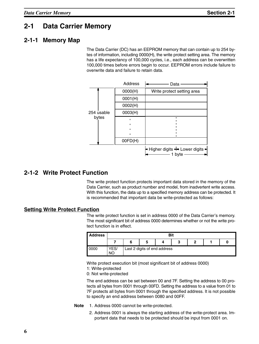## **2-1 Data Carrier Memory**

#### **2-1-1 Memory Map**

The Data Carrier (DC) has an EEPROM memory that can contain up to 254 bytes of information, including 0000(H), the write protect setting area. The memory has a life expectancy of 100,000 cycles, i.e., each address can be overwritten 100,000 times before errors begin to occur. EEPROM errors include failure to overwrite data and failure to retain data.

|                     |         | Address | Data                       |
|---------------------|---------|---------|----------------------------|
|                     |         | 0000(H) | Write protect setting area |
|                     |         | 0001(H) |                            |
| 254 usable<br>bytes |         | 0002(H) |                            |
|                     | 0003(H) |         |                            |
|                     |         |         |                            |
|                     |         |         |                            |
|                     |         |         |                            |
|                     |         |         |                            |
|                     |         | OOFD(H) |                            |
|                     |         |         | 1 byte                     |

#### **2-1-2 Write Protect Function**

The write protect function protects important data stored in the memory of the Data Carrier, such as product number and model, from inadvertent write access. With this function, the data up to a specified memory address can be protected. It is recommended that important data be write-protected as follows:

#### **Setting Write Protect Function**

The write protect function is set in address 0000 of the Data Carrier's memory. The most significant bit of address 0000 determines whether or not the write protect function is in effect.

| <b>Address</b> |            | <b>Bit</b> |   |                              |   |   |  |  |
|----------------|------------|------------|---|------------------------------|---|---|--|--|
|                |            |            | O |                              | v | 2 |  |  |
| 0000           | YES/<br>ΝC |            |   | Last 2 digits of end address |   |   |  |  |

Write protect execution bit (most significant bit of address 0000) 1: Write-protected

0: Not write-protected

The end address can be set between 00 and 7F. Setting the address to 00 protects all bytes from 0001 through 00FD. Setting the address to a value from 01 to 7F protects all bytes from 0001 through the specified address. It is not possible to specify an end address between 0080 and 00FF.

- **Note** 1. Address 0000 cannot be write-protected.
	- 2. Address 0001 is always the starting address of the write-protect area. Important data that needs to be protected should be input from 0001 on.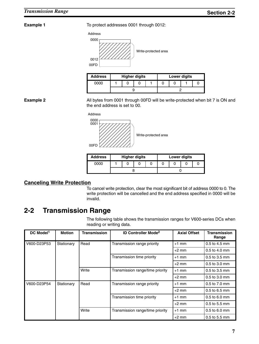**Example 1** To protect addresses 0001 through 0012:



| <b>Address</b> |  | <b>Higher digits</b> |  | Lower digits |  |
|----------------|--|----------------------|--|--------------|--|
| 0000           |  |                      |  |              |  |
|                |  |                      |  |              |  |

**Example 2** All bytes from 0001 through 00FD will be write-protected when bit 7 is ON and the end address is set to 00.

ÉÉÉÉÉÉ

ÉÉÉ É L'ALIEU ALIEU ALIEU A L'ALIEU A L'ALIEU A L'ALIEU A L'ALIEU A L'ALIEU A L'ALIEU A L'ALIEU A L'ALIEU A L' ÉÉÉ É L'ACIE D'AUGUST L'AUGUST L'AUGUST L'AUGUST L'AUGUST L'AUGUST L'AUGUST L'AUGUST L'AUGUST L'AUGUST L'AUGUS



0001

00FD

 $\mathcal{L}(\mathcal{L}/\mathcal{L})$  Write-protected area

| <b>Address</b> | <b>Higher digits</b> |  |  | <b>Lower digits</b> |  |  |  |  |
|----------------|----------------------|--|--|---------------------|--|--|--|--|
| 0000           |                      |  |  |                     |  |  |  |  |
|                |                      |  |  |                     |  |  |  |  |

#### **Canceling Write Protection**

To cancel write protection, clear the most significant bit of address 0000 to 0. The write protection will be cancelled and the end address specified in 0000 will be invalid.

## **2-2 Transmission Range**

The following table shows the transmission ranges for V600-series DCs when reading or writing data.

| DC Model <sup>1</sup> | <b>Motion</b> | <b>Transmission</b> | <b>ID Controller Mode<sup>2</sup></b> | <b>Axial Offset</b> | <b>Transmission</b><br>Range |
|-----------------------|---------------|---------------------|---------------------------------------|---------------------|------------------------------|
| V600-D23P53           | Stationary    | Read                | Transmission range priority           | $+1$ mm             | 0.5 to 4.5 mm                |
|                       |               |                     |                                       | $+2$ mm             | $0.5$ to 4.0 mm              |
|                       |               |                     | Transmission time priority            | $+1$ mm             | 0.5 to 3.5 mm                |
|                       |               |                     |                                       | $+2$ mm             | 0.5 to 3.0 mm                |
|                       |               | Write               | Transmission range/time priority      | $+1$ mm             | 0.5 to 3.5 mm                |
|                       |               |                     |                                       | $+2$ mm             | 0.5 to 3.0 mm                |
| V600-D23P54           | Stationary    | Read                | Transmission range priority           | $+1$ mm             | 0.5 to 7.0 mm                |
|                       |               |                     |                                       | $+2$ mm             | 0.5 to 6.5 mm                |
|                       |               |                     | Transmission time priority            | $+1$ mm             | $0.5$ to 6.0 mm              |
|                       |               |                     |                                       | $+2$ mm             | $0.5$ to 5.5 mm              |
|                       |               | Write               | Transmission range/time priority      | $+1$ mm             | 0.5 to 6.0 mm                |
|                       |               |                     |                                       | $+2$ mm             | 0.5 to 5.5 mm                |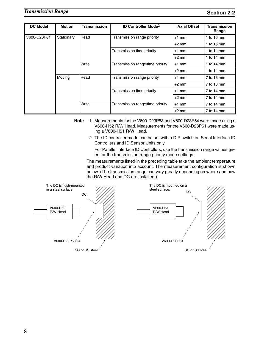| DC Model <sup>1</sup> | <b>Motion</b> | <b>Transmission</b> | <b>ID Controller Mode<sup>2</sup></b> | <b>Axial Offset</b> | <b>Transmission</b><br>Range |
|-----------------------|---------------|---------------------|---------------------------------------|---------------------|------------------------------|
| V600-D23P61           | Stationary    | Read                | Transmission range priority           | $+1$ mm             | 1 to $16 \text{ mm}$         |
|                       |               |                     |                                       | $+2$ mm             | 1 to $16 \text{ mm}$         |
|                       |               |                     | Transmission time priority            | $+1$ mm             | 1 to $14 \text{ mm}$         |
|                       |               |                     |                                       | $+2$ mm             | 1 to $14 \text{ mm}$         |
|                       |               | Write               | Transmission range/time priority      | $+1$ mm             | 1 to $14 \text{ mm}$         |
|                       |               |                     |                                       | $+2$ mm             | 1 to $14 \text{ mm}$         |
|                       | Moving        | Read                | Transmission range priority           | $+1$ mm             | 7 to 16 mm                   |
|                       |               |                     |                                       | $+2$ mm             | 7 to 16 mm                   |
|                       |               |                     | Transmission time priority            | $+1$ mm             | 7 to 14 mm                   |
|                       |               |                     |                                       | $+2$ mm             | 7 to 14 mm                   |
|                       |               | Write               | Transmission range/time priority      | $+1$ mm             | 7 to 14 mm                   |
|                       |               |                     |                                       | $+2$ mm             | 7 to 14 mm                   |

- **Note** 1. Measurements for the V600-D23P53 and V600-D23P54 were made using a V600-H52 R/W Head. Measurements for the V600-D23P61 were made using a V600-H51 R/W Head.
	- 2. The ID controller mode can be set with a DIP switch on Serial Interface ID Controllers and ID Sensor Units only.

For Parallel Interface ID Controllers, use the transmission range values given for the transmission range priority mode settings.

The measurements listed in the preceding table take the ambient temperature and product variation into account. The measurement configuration is shown below. (The transmission range can vary greatly depending on where and how the R/W Head and DC are installed.)

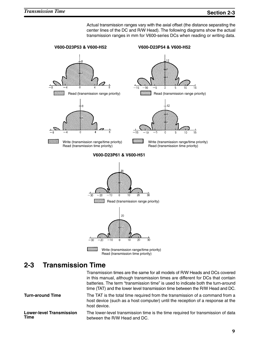Actual transmission ranges vary with the axial offset (the distance separating the center lines of the DC and R/W Head). The following diagrams show the actual transmission ranges in mm for V600-series DCs when reading or writing data.



### **2-3 Transmission Time**

Transmission times are the same for all models of R/W Heads and DCs covered in this manual, although transmission times are different for DCs that contain batteries. The term "transmission time" is used to indicate both the turn-around time (TAT) and the lower level transmission time between the R/W Head and DC. **Turn-around Time** The TAT is the total time required from the transmission of a command from a host device (such as a host computer) until the reception of a response at the host device. The lower-level transmission time is the time required for transmission of data between the R/W Head and DC. **Lower-level Transmission Time**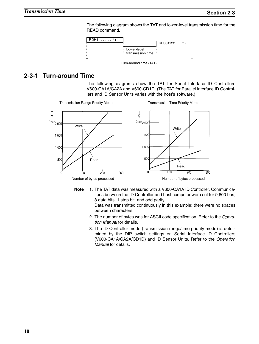The following diagram shows the TAT and lower-level transmission time for the READ command.



#### **2-3-1 Turn-around Time**

The following diagrams show the TAT for Serial Interface ID Controllers V600-CA1A/CA2A and V600-CD1D. (The TAT for Parallel Interface ID Controllers and ID Sensor Units varies with the host's software.)



**Note** 1. The TAT data was measured with a V600-CA1A ID Controller. Communications between the ID Controller and host computer were set for 9,600 bps, 8 data bits, 1 stop bit, and odd parity.

Data was transmitted continuously in this example; there were no spaces between characters.

- 2. The number of bytes was for ASCII code specification. Refer to the *Operation Manual* for details.
- 3. The ID Controller mode (transmission range/time priority mode) is determined by the DIP switch settings on Serial Interface ID Controllers (V600-CA1A/CA2A/CD1D) and ID Sensor Units. Refer to the *Operation Manual* for details.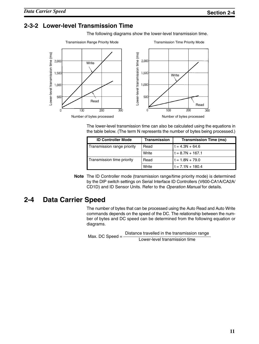#### **2-3-2 Lower-level Transmission Time**

The following diagrams show the lower-level transmission time.



The lower-level transmission time can also be calculated using the equations in the table below. (The term N represents the number of bytes being processed.)

| <b>ID Controller Mode</b>   | <b>Transmission</b> | <b>Transmission Time (ms)</b> |
|-----------------------------|---------------------|-------------------------------|
| Transmission range priority | Read                | $t = 4.3N + 64.6$             |
|                             | Write               | $t = 8.7N + 167.1$            |
| Transmission time priority  | Read                | $t = 1.8N + 79.0$             |
|                             | Write               | $t = 7.1N + 180.4$            |

**Note** The ID Controller mode (transmission range/time priority mode) is determined by the DIP switch settings on Serial Interface ID Controllers (V600-CA1A/CA2A/ CD1D) and ID Sensor Units. Refer to the *Operation Manual* for details.

### **2-4 Data Carrier Speed**

The number of bytes that can be processed using the Auto Read and Auto Write commands depends on the speed of the DC. The relationship between the number of bytes and DC speed can be determined from the following equation or diagrams.

Max. DC Speed  $=$  Distance travelled in the transmission range

Lower-level transmission time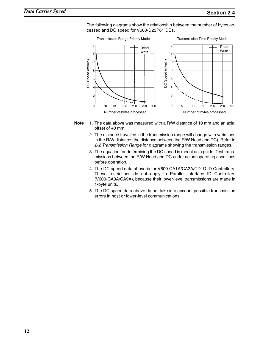The following diagrams show the relationship between the number of bytes accessed and DC speed for V600-D23P61 DCs.



- **Note** 1. The data above was measured with a R/W distance of 10 mm and an axial offset of  $+0$  mm.
	- 2. The distance travelled in the transmission range will change with variations in the R/W distance (the distance between the R/W Head and DC). Refer to *2-2 Transmission Range* for diagrams showing the transmission ranges.
	- 3. The equation for determining the DC speed is meant as a guide. Test transmissions between the R/W Head and DC under actual operating conditions before operation.
	- 4. The DC speed data above is for V600-CA1A/CA2A/CD1D ID Controllers. These restrictions do not apply to Parallel Interface ID Controllers (V600-CA8A/CA9A), because their lower-level transmissions are made in 1-byte units.
	- 5. The DC speed data above do not take into account possible transmission errors in host or lower-level communications.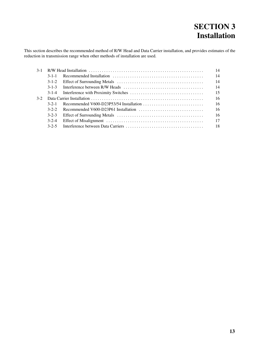# **SECTION 3 Installation**

This section describes the recommended method of R/W Head and Data Carrier installation, and provides estimates of the reduction in transmission range when other methods of installation are used.

| $3 - 1$ |             |                                                                                                |    |  |  |  |  |  |
|---------|-------------|------------------------------------------------------------------------------------------------|----|--|--|--|--|--|
|         | $3 - 1 - 1$ |                                                                                                | 14 |  |  |  |  |  |
|         | $3 - 1 - 2$ |                                                                                                | 14 |  |  |  |  |  |
|         | $3 - 1 - 3$ |                                                                                                | 14 |  |  |  |  |  |
|         | $3 - 1 - 4$ |                                                                                                | 15 |  |  |  |  |  |
| $3-2$   |             |                                                                                                |    |  |  |  |  |  |
|         | $3 - 2 - 1$ |                                                                                                | 16 |  |  |  |  |  |
|         | $3 - 2 - 2$ | Recommended V600-D23P61 Installation $\ldots \ldots \ldots \ldots \ldots \ldots \ldots \ldots$ | 16 |  |  |  |  |  |
|         | $3 - 2 - 3$ |                                                                                                | 16 |  |  |  |  |  |
|         | $3 - 2 - 4$ |                                                                                                | 17 |  |  |  |  |  |
|         | $3 - 2 - 5$ |                                                                                                |    |  |  |  |  |  |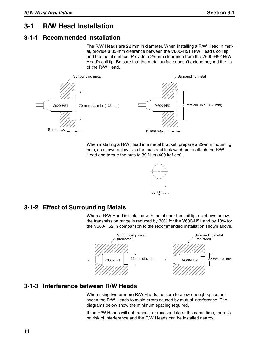## **3-1 R/W Head Installation**

## **3-1-1 Recommended Installation**

The R/W Heads are 22 mm in diameter. When installing a R/W Head in metal, provide a 35-mm clearance between the V600-H51 R/W Head's coil tip and the metal surface. Provide a 25-mm clearance from the V600-H52 R/W Head's coil tip. Be sure that the metal surface doesn't extend beyond the tip of the R/W Head.



When installing a R/W Head in a metal bracket, prepare a 22-mm mounting hole, as shown below. Use the nuts and lock washers to attach the R/W Head and torque the nuts to 39 N-m (400 kgf-cm).



#### **3-1-2 Effect of Surrounding Metals**

When a R/W Head is installed with metal near the coil tip, as shown below, the transmission range is reduced by 30% for the V600-H51 and by 10% for the V600-H52 in comparison to the recommended installation shown above.



#### **3-1-3 Interference between R/W Heads**

When using two or more R/W Heads, be sure to allow enough space between the R/W Heads to avoid errors caused by mutual interference. The diagrams below show the minimum spacing required.

If the R/W Heads will not transmit or receive data at the same time, there is no risk of interference and the R/W Heads can be installed nearby.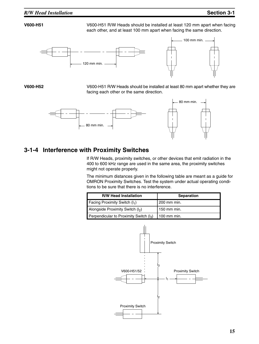#### *R/W Head Installation* **Section 3-1**

**V600-H51** V600-H51 R/W Heads should be installed at least 120 mm apart when facing each other, and at least 100 mm apart when facing the same direction.



**V600-H52** V600-H51 R/W Heads should be installed at least 80 mm apart whether they are facing each other or the same direction.



#### **3-1-4 Interference with Proximity Switches**

If R/W Heads, proximity switches, or other devices that emit radiation in the 400 to 600 kHz range are used in the same area, the proximity switches might not operate properly.

The minimum distances given in the following table are meant as a guide for OMRON Proximity Switches. Test the system under actual operating conditions to be sure that there is no interference.

| <b>R/W Head Installation</b>              | <b>Separation</b> |
|-------------------------------------------|-------------------|
| Facing Proximity Switch $(I_1)$           | 200 mm min.       |
| Alongside Proximity Switch (I2)           | 150 mm min.       |
| Perpendicular to Proximity Switch $(I_3)$ | 100 mm min.       |

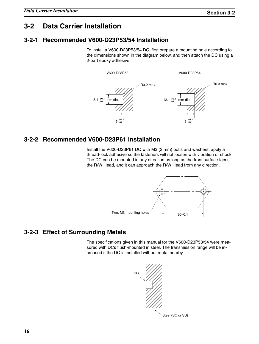## **3-2 Data Carrier Installation**

## **3-2-1 Recommended V600-D23P53/54 Installation**

To install a V600-D23P53/54 DC, first prepare a mounting hole according to the dimensions shown in the diagram below, and then attach the DC using a 2-part epoxy adhesive.



### **3-2-2 Recommended V600-D23P61 Installation**

Install the V600-D23P61 DC with M3 (3 mm) bolts and washers; apply a thread-lock adhesive so the fasteners will not loosen with vibration or shock. The DC can be mounted in any direction as long as the front surface faces the R/W Head, and it can approach the R/W Head from any direction.



## **3-2-3 Effect of Surrounding Metals**

The specifications given in this manual for the V600-D23P53/54 were measured with DCs flush-mounted in steel. The transmission range will be increased if the DC is installed without metal nearby.

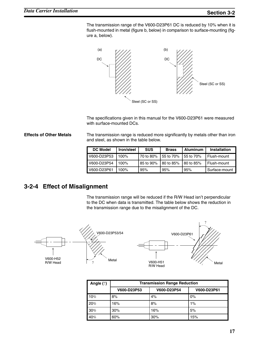The transmission range of the V600-D23P61 DC is reduced by 10% when it is flush-mounted in metal (figure b, below) in comparison to surface-mounting (figure a, below).



The specifications given in this manual for the V600-D23P61 were measured with surface-mounted DCs.

**Effects of Other Metals** The transmission range is reduced more significantly by metals other than iron and steel, as shown in the table below.

| <b>DC Model</b> | Iron/steel | <b>SUS</b> | <b>Brass</b> | Aluminum  | Installation  |
|-----------------|------------|------------|--------------|-----------|---------------|
| V600-D23P53     | $100\%$    | 70 to 80%  | 55 to 70%    | 55 to 70% | Flush-mount   |
| V600-D23P54     | 100%       | 85 to 90%  | 80 to 85%    | 80 to 85% | Flush-mount   |
| V600-D23P61     | $100\%$    | 95%        | 95%          | 95%       | Surface-mount |

#### **3-2-4 Effect of Misalignment**

The transmission range will be reduced if the R/W Head isn't perpendicular to the DC when data is transmitted. The table below shows the reduction in the transmission range due to the misalignment of the DC.



| Angle (?) | <b>Transmission Range Reduction</b> |             |             |
|-----------|-------------------------------------|-------------|-------------|
|           | V600-D23P53                         | V600-D23P54 | V600-D23P61 |
| 10%       | 8%                                  | 4%          | 0%          |
| 20%       | 16%                                 | 8%          | 1%          |
| 30%       | 30%                                 | 16%         | 5%          |
| 40%       | 60%                                 | 30%         | 15%         |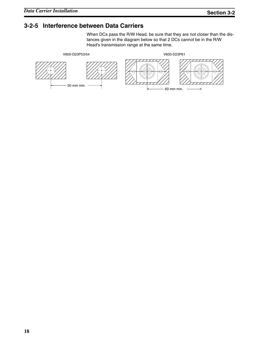#### **3-2-5 Interference between Data Carriers**

When DCs pass the R/W Head, be sure that they are not closer than the distances given in the diagram below so that 2 DCs cannot be in the R/W Head's transmission range at the same time.

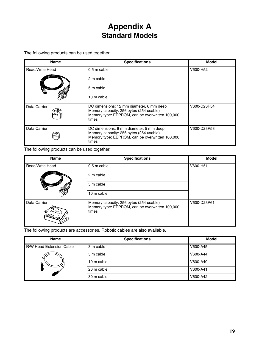# **Appendix A Standard Models**

The following products can be used together.

| <b>Name</b>            | <b>Specifications</b>                                                                                                                           | <b>Model</b> |
|------------------------|-------------------------------------------------------------------------------------------------------------------------------------------------|--------------|
| <b>Read/Write Head</b> | 0.5 m cable                                                                                                                                     | V600-H52     |
|                        | 2 m cable                                                                                                                                       |              |
|                        | 5 m cable                                                                                                                                       |              |
|                        | 10 m cable                                                                                                                                      |              |
| Data Carrier           | DC dimensions: 12 mm diameter, 6 mm deep<br>Memory capacity: 256 bytes (254 usable)<br>Memory type: EEPROM, can be overwritten 100,000<br>times | V600-D23P54  |
| Data Carrier           | DC dimensions: 8 mm diameter, 5 mm deep<br>Memory capacity: 256 bytes (254 usable)<br>Memory type: EEPROM, can be overwritten 100,000<br>times  | V600-D23P53  |

The following products can be used together.

| <b>Name</b>                     | <b>Specifications</b>                                                                               | Model       |
|---------------------------------|-----------------------------------------------------------------------------------------------------|-------------|
| Read/Write Head                 | 0.5 m cable                                                                                         | V600-H51    |
|                                 | 2 m cable                                                                                           |             |
|                                 | 5 m cable                                                                                           |             |
|                                 | 10 m cable                                                                                          |             |
| Data Carrier<br><b>Lego Dar</b> | Memory capacity: 256 bytes (254 usable)<br>Memory type: EEPROM, can be overwritten 100,000<br>times | V600-D23P61 |

The following products are accessories. Robotic cables are also available.

| <b>Name</b>              | <b>Specifications</b> | <b>Model</b> |
|--------------------------|-----------------------|--------------|
| R/W Head Extension Cable | 3 m cable             | V600-A45     |
|                          | 5 m cable             | V600-A44     |
|                          | 10 m cable            | V600-A40     |
|                          | 20 m cable            | V600-A41     |
|                          | 30 m cable            | V600-A42     |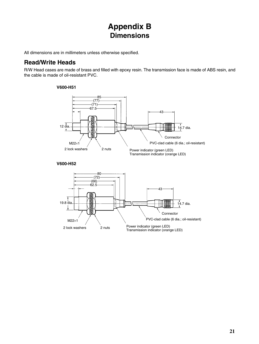# **Appendix B Dimensions**

All dimensions are in millimeters unless otherwise specified.

#### **Read/Write Heads**

R/W Head cases are made of brass and filled with epoxy resin. The transmission face is made of ABS resin, and the cable is made of oil-resistant PVC.

#### **V600-H51**



#### **V600-H52**

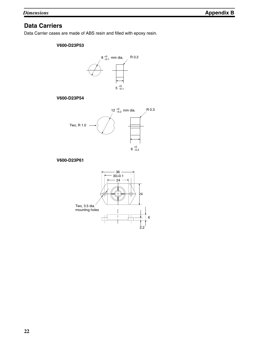#### **Data Carriers**

Data Carrier cases are made of ABS resin and filled with epoxy resin.

#### **V600-D23P53**



#### **V600-D23P54**



#### **V600-D23P61**

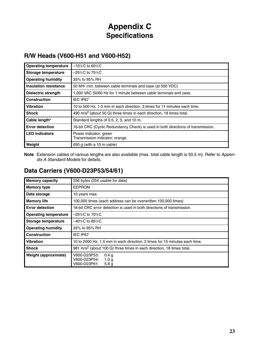# **Appendix C Specifications**

## **R/W Heads (V600-H51 and V600-H52)**

| <b>Operating temperature</b> | $-10\%$ C to 60%C                                                                |  |
|------------------------------|----------------------------------------------------------------------------------|--|
| Storage temperature          | $-25\%$ C to 75%C                                                                |  |
| <b>Operating humidity</b>    | 35% to 95% RH                                                                    |  |
| Insulation resistance        | 50 MW min. between cable terminals and case (at 500 VDC)                         |  |
| Dielectric strength          | 1,000 VAC 50/60 Hz for 1 minute between cable terminals and case.                |  |
| <b>Construction</b>          | IEC IP67                                                                         |  |
| <b>Vibration</b>             | 10 to 500 Hz, 1.0 mm in each direction, 3 times for 11 minutes each time.        |  |
| <b>Shock</b>                 | 490 m/s <sup>2</sup> (about 50 G) three times in each direction, 18 times total. |  |
| Cable length*                | Standard lengths of 0.5, 2, 5, and 10 m.                                         |  |
| <b>Error detection</b>       | 16-bit CRC (Cyclic Redundancy Check) is used in both directions of transmission. |  |
| <b>LED</b> indicators        | Power indicator: green<br>Transmission indicator: orange                         |  |
| Weight                       | 650 g (with a 10 m cable)                                                        |  |

**Note** Extension cables of various lengths are also available (max. total cable length is 50.5 m). Refer to *Appendix A Standard Models* for details.

#### **Data Carriers (V600-D23P53/54/61)**

| <b>Memory capacity</b>       | 256 bytes (254 usable for data)                                                                          |  |
|------------------------------|----------------------------------------------------------------------------------------------------------|--|
| <b>Memory type</b>           | <b>EEPROM</b>                                                                                            |  |
| Data storage                 | 10 years max.                                                                                            |  |
| <b>Memory life</b>           | 100,000 times (each address can be overwritten 100,000 times)                                            |  |
| <b>Error detection</b>       | 16-bit CRC error detection is used in both directions of transmission.                                   |  |
| <b>Operating temperature</b> | $-25\%$ C to 70%C                                                                                        |  |
| <b>Storage temperature</b>   | –40%C to 85%C                                                                                            |  |
| <b>Operating humidity</b>    | 35% to 95% RH                                                                                            |  |
| <b>Construction</b>          | IEC IP67                                                                                                 |  |
| <b>Vibration</b>             | 10 to 2000 Hz, 1.5 mm in each direction, 2 times for 15 minutes each time.                               |  |
| <b>Shock</b>                 | 981 m/s <sup>2</sup> (about 100 G) three times in each direction, 18 times total.                        |  |
| <b>Weight (approximate)</b>  | V600-D23P53:<br>0.4 <sub>q</sub><br>V600-D23P54:<br>1.0 <sub>q</sub><br>V600-D23P61:<br>5.8 <sub>g</sub> |  |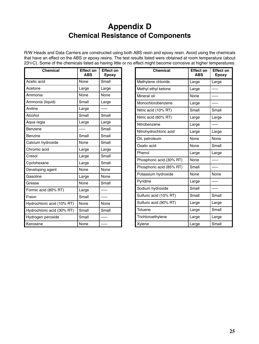# **Appendix D Chemical Resistance of Components**

R/W Heads and Data Carriers are constructed using both ABS resin and epoxy resin. Avoid using the chemicals that have an effect on the ABS or epoxy resins. The test results listed were obtained at room temperature (about 23%C). Some of the chemicals listed as having little or no effect might become corrosive at higher temperatures.

| <b>Chemical</b>            | <b>Effect on</b><br><b>ABS</b> | <b>Effect on</b><br><b>Epoxy</b> |
|----------------------------|--------------------------------|----------------------------------|
| Acetic acid                | None                           | Small                            |
| Acetone                    | Large                          | Large                            |
| Ammonia                    | None                           | None                             |
| Ammonia (liquid)           | Small                          | Large                            |
| Aniline                    | Large                          |                                  |
| Alcohol                    | Small                          | Small                            |
| Aqua regia                 | Large                          | Large                            |
| Benzene                    |                                | Small                            |
| <b>Benzine</b>             | Small                          | Small                            |
| Calcium hydroxide          | None                           | Small                            |
| Chromic acid               | Large                          | Large                            |
| Cresol                     | Large                          | Small                            |
| Cyclohexane                | Large                          | Small                            |
| Developing agent           | None                           | None                             |
| Gasoline                   | Large                          | None                             |
| Grease                     | None                           | Small                            |
| Formic acid (80% RT)       | Large                          |                                  |
| Freon                      | Small                          |                                  |
| Hydrochloric acid (10% RT) | None                           | None                             |
| Hydrochloric acid (30% RT) | Small                          | Small                            |
| Hydrogen peroxide          | Small                          |                                  |
| Kerosene                   | None                           |                                  |

| <b>Chemical</b>          | <b>Effect on</b><br><b>ABS</b> | <b>Effect on</b><br><b>Epoxy</b> |
|--------------------------|--------------------------------|----------------------------------|
| Methylene chloride       | Large                          | Large                            |
| Methyl ethyl ketone      | Large                          |                                  |
| Mineral oil              | None                           |                                  |
| Monochlorobenzene        | Large                          |                                  |
| Nitric acid (10% RT)     | Small                          | Small                            |
| Nitric acid (60% RT)     | Large                          | Large                            |
| Nitrobenzene             | Large                          |                                  |
| Nitrohydrochloric acid   | Large                          | Large                            |
| Oil, petroleum           | None                           | None                             |
| Oxalic acid              | None                           | Small                            |
| Phenol                   | Large                          | Large                            |
| Phosphoric acid (30% RT) | None                           |                                  |
| Phosphoric acid (85% RT) | Small                          |                                  |
| Potassium hydroxide      | None                           | None                             |
| Pyridine                 | Large                          |                                  |
| Sodium hydroxide         | Small                          |                                  |
| Sulfuric acid (10% RT)   | Small                          | Small                            |
| Sulfuric acid (90% RT)   | Large                          | Large                            |
| Toluene                  | Large                          | Small                            |
| Trichloroethylene        | Large                          | Large                            |
| Xylene                   | Large                          | Small                            |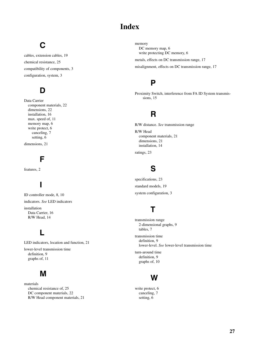## **Index**

# C

cables, extension cables, 19 chemical resistance, 25 compatibility of components, 3 configuration, system, 3

## $\mathbf D$

Data Carrier component materials, 22 dimensions, 22 installation, 16 max. speed of, 11 memory map, 6 write protect, 6 canceling, 7 setting, 6

dimensions, 21

## F

features, 2

# $\overline{\phantom{a}}$

ID controller mode, 8, 10 indicators. *See* LED indicators installation Data Carrier, 16 R/W Head, 14

### L

LED indicators, location and function, 21 lower-level transmission time definition, 9 graphs of, 11

## M

materials chemical resistance of, 25 DC component materials, 22 R/W Head component materials, 21 memory DC memory map, 6 write protecting DC memory, 6

metals, effects on DC transmission range, 17 misalignment, effects on DC transmission range, 17

#### P

Proximity Switch, interference from FA ID System transmissions, 15

#### R

R/W distance. *See* transmission range

R/W Head component materials, 21 dimensions, 21 installation, 14

ratings, 23

## S

specifications, 23 standard models, 19 system configuration, 3

# Τ

transmission range 2-dimensional graphs, 9 tables, 7 transmission time definition, 9 lower-level. *See* lower-level transmission time turn-around time definition, 9 graphs of, 10



write protect, 6 canceling, 7 setting, 6